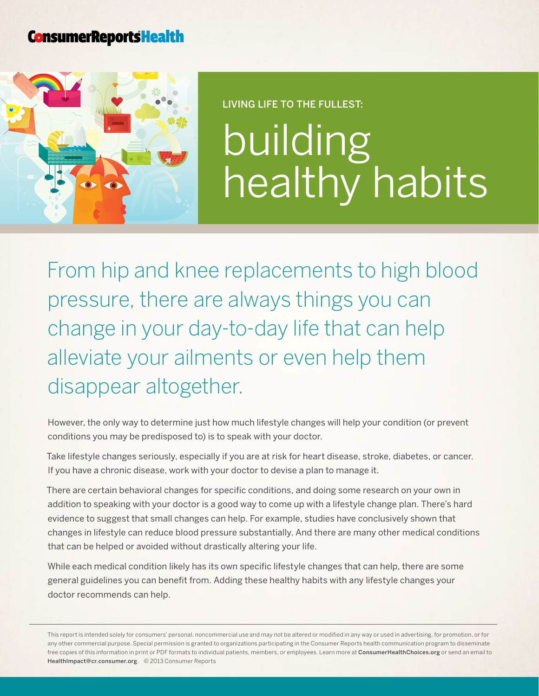## **ConsumerReportsHealth**



## Living life to the fullest: building healthy habits

From hip and knee replacements to high blood pressure, there are always things you can change in your day-to-day life that can help alleviate your ailments or even help them disappear altogether.

However, the only way to determine just how much lifestyle changes will help your condition (or prevent conditions you may be predisposed to) is to speak with your doctor.

Take lifestyle changes seriously, especially if you are at risk for heart disease, stroke, diabetes, or cancer. If you have a chronic disease, work with your doctor to devise a plan to manage it.

There are certain behavioral changes for specific conditions, and doing some research on your own in addition to speaking with your doctor is a good way to come up with a lifestyle change plan. There's hard evidence to suggest that small changes can help. For example, studies have conclusively shown that changes in lifestyle can reduce blood pressure substantially. And there are many other medical conditions that can be helped or avoided without drastically altering your life.

While each medical condition likely has its own specific lifestyle changes that can help, there are some general guidelines you can benefit from. Adding these healthy habits with any lifestyle changes your doctor recommends can help.

This report is intended solely for consumers' personal, noncommercial use and may not be altered or modified in any way or used in advertising, for promotion, or for any other commercial purpose. Special permission is granted to organizations participating in the Consumer Reports health communication program to disseminate free copies of this information in print or PDF formats to individual patients, members, or employees. Learn more at [ConsumerHealthChoices.org](http://www.ConsumerHealthChoices.org) or send an email to HealthImpact@cr.consumer.org. © 2013 Consumer Reports